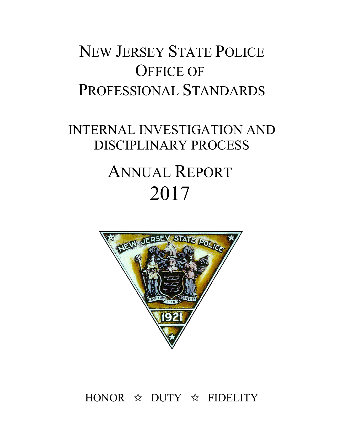## NEW JERSEY STATE POLICE OFFICE OF PROFESSIONAL STANDARDS

# INTERNAL INVESTIGATION AND DISCIPLINARY PROCESS ANNUAL REPORT 2017



## HONOR  $\hat{\mathbb{X}}$  DUTY  $\hat{\mathbb{X}}$  FIDELITY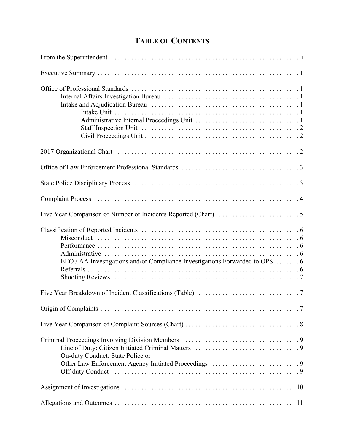## **TABLE OF CONTENTS**

| EEO / AA Investigations and/or Compliance Investigations Forwarded to OPS 6 |
|-----------------------------------------------------------------------------|
|                                                                             |
|                                                                             |
|                                                                             |
| On-duty Conduct: State Police or                                            |
|                                                                             |
|                                                                             |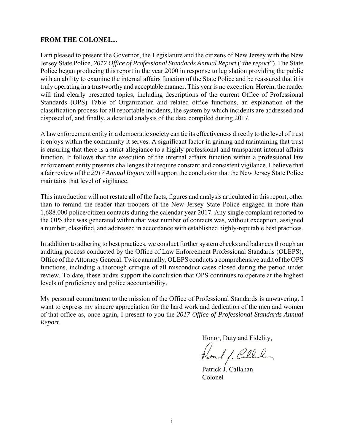#### **FROM THE COLONEL...**

I am pleased to present the Governor, the Legislature and the citizens of New Jersey with the New Jersey State Police, *2017 Office of Professional Standards Annual Report* ("*the report*"). The State Police began producing this report in the year 2000 in response to legislation providing the public with an ability to examine the internal affairs function of the State Police and be reassured that it is truly operating in a trustworthy and acceptable manner. This year is no exception. Herein, the reader will find clearly presented topics, including descriptions of the current Office of Professional Standards (OPS) Table of Organization and related office functions, an explanation of the classification process for all reportable incidents, the system by which incidents are addressed and disposed of, and finally, a detailed analysis of the data compiled during 2017.

A law enforcement entity in a democratic society can tie its effectiveness directly to the level of trust it enjoys within the community it serves. A significant factor in gaining and maintaining that trust is ensuring that there is a strict allegiance to a highly professional and transparent internal affairs function. It follows that the execution of the internal affairs function within a professional law enforcement entity presents challenges that require constant and consistent vigilance. I believe that a fair review of the *2017 Annual Report* will support the conclusion that the New Jersey State Police maintains that level of vigilance.

This introduction will not restate all of the facts, figures and analysis articulated in this report, other than to remind the reader that troopers of the New Jersey State Police engaged in more than 1,688,000 police/citizen contacts during the calendar year 2017. Any single complaint reported to the OPS that was generated within that vast number of contacts was, without exception, assigned a number, classified, and addressed in accordance with established highly-reputable best practices.

In addition to adhering to best practices, we conduct further system checks and balances through an auditing process conducted by the Office of Law Enforcement Professional Standards (OLEPS), Office of the Attorney General. Twice annually, OLEPS conducts a comprehensive audit of the OPS functions, including a thorough critique of all misconduct cases closed during the period under review. To date, these audits support the conclusion that OPS continues to operate at the highest levels of proficiency and police accountability.

My personal commitment to the mission of the Office of Professional Standards is unwavering. I want to express my sincere appreciation for the hard work and dedication of the men and women of that office as, once again, I present to you the *2017 Office of Professional Standards Annual Report*.

Honor, Duty and Fidelity,

Patrick f. Callahon

Patrick J. Callahan Colonel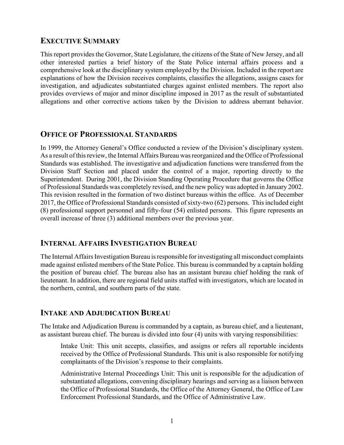#### **EXECUTIVE SUMMARY**

This report provides the Governor, State Legislature, the citizens of the State of New Jersey, and all other interested parties a brief history of the State Police internal affairs process and a comprehensive look at the disciplinary system employed by the Division. Included in the report are explanations of how the Division receives complaints, classifies the allegations, assigns cases for investigation, and adjudicates substantiated charges against enlisted members. The report also provides overviews of major and minor discipline imposed in 2017 as the result of substantiated allegations and other corrective actions taken by the Division to address aberrant behavior.

#### **OFFICE OF PROFESSIONAL STANDARDS**

In 1999, the Attorney General's Office conducted a review of the Division's disciplinary system. As a result of this review, the Internal Affairs Bureau was reorganized and the Office of Professional Standards was established. The investigative and adjudication functions were transferred from the Division Staff Section and placed under the control of a major, reporting directly to the Superintendent. During 2001, the Division Standing Operating Procedure that governs the Office of Professional Standards was completely revised, and the new policy was adopted in January 2002. This revision resulted in the formation of two distinct bureaus within the office. As of December 2017, the Office of Professional Standards consisted of sixty-two (62) persons. This included eight (8) professional support personnel and fifty-four (54) enlisted persons. This figure represents an overall increase of three (3) additional members over the previous year.

#### **INTERNAL AFFAIRS INVESTIGATION BUREAU**

The Internal Affairs Investigation Bureau is responsible for investigating all misconduct complaints made against enlisted members of the State Police. This bureau is commanded by a captain holding the position of bureau chief. The bureau also has an assistant bureau chief holding the rank of lieutenant. In addition, there are regional field units staffed with investigators, which are located in the northern, central, and southern parts of the state.

## **INTAKE AND ADJUDICATION BUREAU**

The Intake and Adjudication Bureau is commanded by a captain, as bureau chief, and a lieutenant, as assistant bureau chief. The bureau is divided into four (4) units with varying responsibilities:

Intake Unit: This unit accepts, classifies, and assigns or refers all reportable incidents received by the Office of Professional Standards. This unit is also responsible for notifying complainants of the Division's response to their complaints.

Administrative Internal Proceedings Unit: This unit is responsible for the adjudication of substantiated allegations, convening disciplinary hearings and serving as a liaison between the Office of Professional Standards, the Office of the Attorney General, the Office of Law Enforcement Professional Standards, and the Office of Administrative Law.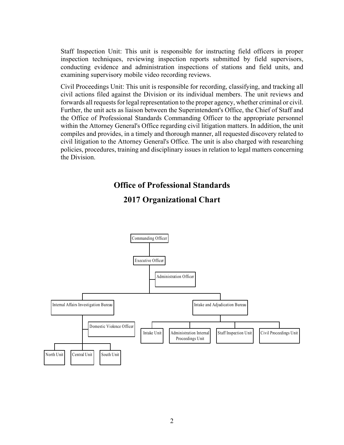Staff Inspection Unit: This unit is responsible for instructing field officers in proper inspection techniques, reviewing inspection reports submitted by field supervisors, conducting evidence and administration inspections of stations and field units, and examining supervisory mobile video recording reviews.

Civil Proceedings Unit: This unit is responsible for recording, classifying, and tracking all civil actions filed against the Division or its individual members. The unit reviews and forwards all requests for legal representation to the proper agency, whether criminal or civil. Further, the unit acts as liaison between the Superintendent's Office, the Chief of Staff and the Office of Professional Standards Commanding Officer to the appropriate personnel within the Attorney General's Office regarding civil litigation matters. In addition, the unit compiles and provides, in a timely and thorough manner, all requested discovery related to civil litigation to the Attorney General's Office. The unit is also charged with researching policies, procedures, training and disciplinary issues in relation to legal matters concerning the Division.

#### **Office of Professional Standards**



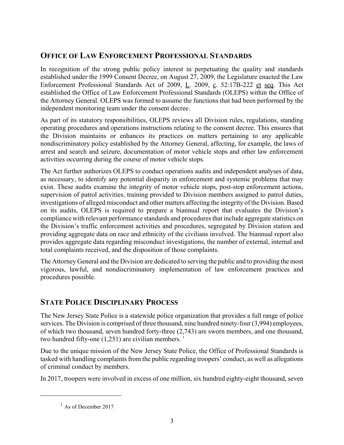## **OFFICE OF LAW ENFORCEMENT PROFESSIONAL STANDARDS**

In recognition of the strong public policy interest in perpetuating the quality and standards established under the 1999 Consent Decree, on August 27, 2009, the Legislature enacted the Law Enforcement Professional Standards Act of 2009, L. 2009, c. 52:17B-222 et seq. This Act established the Office of Law Enforcement Professional Standards (OLEPS) within the Office of the Attorney General. OLEPS was formed to assume the functions that had been performed by the independent monitoring team under the consent decree.

As part of its statutory responsibilities, OLEPS reviews all Division rules, regulations, standing operating procedures and operations instructions relating to the consent decree. This ensures that the Division maintains or enhances its practices on matters pertaining to any applicable nondiscriminatory policy established by the Attorney General, affecting, for example, the laws of arrest and search and seizure, documentation of motor vehicle stops and other law enforcement activities occurring during the course of motor vehicle stops.

The Act further authorizes OLEPS to conduct operations audits and independent analyses of data, as necessary, to identify any potential disparity in enforcement and systemic problems that may exist. These audits examine the integrity of motor vehicle stops, post-stop enforcement actions, supervision of patrol activities, training provided to Division members assigned to patrol duties, investigations of alleged misconduct and other matters affecting the integrity of the Division. Based on its audits, OLEPS is required to prepare a biannual report that evaluates the Division's compliance with relevant performance standards and procedures that include aggregate statistics on the Division's traffic enforcement activities and procedures, segregated by Division station and providing aggregate data on race and ethnicity of the civilians involved. The biannual report also provides aggregate data regarding misconduct investigations, the number of external, internal and total complaints received, and the disposition of those complaints.

The Attorney General and the Division are dedicated to serving the public and to providing the most vigorous, lawful, and nondiscriminatory implementation of law enforcement practices and procedures possible.

## **STATE POLICE DISCIPLINARY PROCESS**

The New Jersey State Police is a statewide police organization that provides a full range of police services. The Division is comprised of three thousand, nine hundred ninety-four (3,994) employees. of which two thousand, seven hundred forty-three (2,743) are sworn members, and one thousand, two hundred fifty-one  $(1,251)$  are civilian members.<sup>1</sup>

Due to the unique mission of the New Jersey State Police, the Office of Professional Standards is tasked with handling complaints from the public regarding troopers' conduct, as well as allegations of criminal conduct by members.

In 2017, troopers were involved in excess of one million, six hundred eighty-eight thousand, seven

 $<sup>1</sup>$  As of December 2017</sup>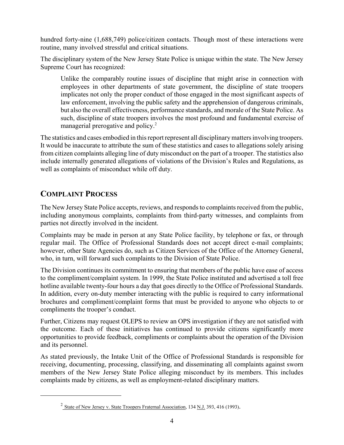hundred forty-nine (1,688,749) police/citizen contacts. Though most of these interactions were routine, many involved stressful and critical situations.

The disciplinary system of the New Jersey State Police is unique within the state. The New Jersey Supreme Court has recognized:

Unlike the comparably routine issues of discipline that might arise in connection with employees in other departments of state government, the discipline of state troopers implicates not only the proper conduct of those engaged in the most significant aspects of law enforcement, involving the public safety and the apprehension of dangerous criminals, but also the overall effectiveness, performance standards, and morale of the State Police. As such, discipline of state troopers involves the most profound and fundamental exercise of managerial prerogative and policy.<sup>2</sup>

The statistics and cases embodied in this report represent all disciplinary matters involving troopers. It would be inaccurate to attribute the sum of these statistics and cases to allegations solely arising from citizen complaints alleging line of duty misconduct on the part of a trooper. The statistics also include internally generated allegations of violations of the Division's Rules and Regulations, as well as complaints of misconduct while off duty.

## **COMPLAINT PROCESS**

The New Jersey State Police accepts, reviews, and responds to complaints received from the public, including anonymous complaints, complaints from third-party witnesses, and complaints from parties not directly involved in the incident.

Complaints may be made in person at any State Police facility, by telephone or fax, or through regular mail. The Office of Professional Standards does not accept direct e-mail complaints; however, other State Agencies do, such as Citizen Services of the Office of the Attorney General, who, in turn, will forward such complaints to the Division of State Police.

The Division continues its commitment to ensuring that members of the public have ease of access to the compliment/complaint system. In 1999, the State Police instituted and advertised a toll free hotline available twenty-four hours a day that goes directly to the Office of Professional Standards. In addition, every on-duty member interacting with the public is required to carry informational brochures and compliment/complaint forms that must be provided to anyone who objects to or compliments the trooper's conduct.

Further, Citizens may request OLEPS to review an OPS investigation if they are not satisfied with the outcome. Each of these initiatives has continued to provide citizens significantly more opportunities to provide feedback, compliments or complaints about the operation of the Division and its personnel.

As stated previously, the Intake Unit of the Office of Professional Standards is responsible for receiving, documenting, processing, classifying, and disseminating all complaints against sworn members of the New Jersey State Police alleging misconduct by its members. This includes complaints made by citizens, as well as employment-related disciplinary matters.

<sup>&</sup>lt;sup>2</sup> State of New Jersey v. State Troopers Fraternal Association, 134 N.J. 393, 416 (1993).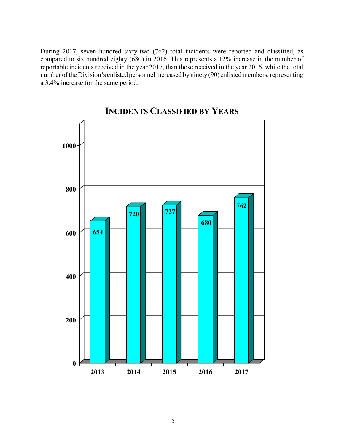During 2017, seven hundred sixty-two (762) total incidents were reported and classified, as compared to six hundred eighty (680) in 2016. This represents a 12% increase in the number of reportable incidents received in the year 2017, than those received in the year 2016, while the total number of the Division's enlisted personnel increased by ninety (90) enlisted members, representing a 3.4% increase for the same period.



**INCIDENTS CLASSIFIED BY YEARS**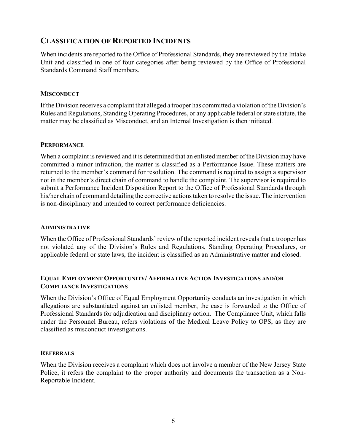#### **CLASSIFICATION OF REPORTED INCIDENTS**

When incidents are reported to the Office of Professional Standards, they are reviewed by the Intake Unit and classified in one of four categories after being reviewed by the Office of Professional Standards Command Staff members.

#### **MISCONDUCT**

If the Division receives a complaint that alleged a trooper has committed a violation of the Division's Rules and Regulations, Standing Operating Procedures, or any applicable federal or state statute, the matter may be classified as Misconduct, and an Internal Investigation is then initiated.

#### **PERFORMANCE**

When a complaint is reviewed and it is determined that an enlisted member of the Division may have committed a minor infraction, the matter is classified as a Performance Issue. These matters are returned to the member's command for resolution. The command is required to assign a supervisor not in the member's direct chain of command to handle the complaint. The supervisor is required to submit a Performance Incident Disposition Report to the Office of Professional Standards through his/her chain of command detailing the corrective actions taken to resolve the issue. The intervention is non-disciplinary and intended to correct performance deficiencies.

#### **ADMINISTRATIVE**

When the Office of Professional Standards' review of the reported incident reveals that a trooper has not violated any of the Division's Rules and Regulations, Standing Operating Procedures, or applicable federal or state laws, the incident is classified as an Administrative matter and closed.

#### **EQUAL EMPLOYMENT OPPORTUNITY/ AFFIRMATIVE ACTION INVESTIGATIONS AND/OR COMPLIANCE INVESTIGATIONS**

When the Division's Office of Equal Employment Opportunity conducts an investigation in which allegations are substantiated against an enlisted member, the case is forwarded to the Office of Professional Standards for adjudication and disciplinary action. The Compliance Unit, which falls under the Personnel Bureau, refers violations of the Medical Leave Policy to OPS, as they are classified as misconduct investigations.

#### **REFERRALS**

When the Division receives a complaint which does not involve a member of the New Jersey State Police, it refers the complaint to the proper authority and documents the transaction as a Non-Reportable Incident.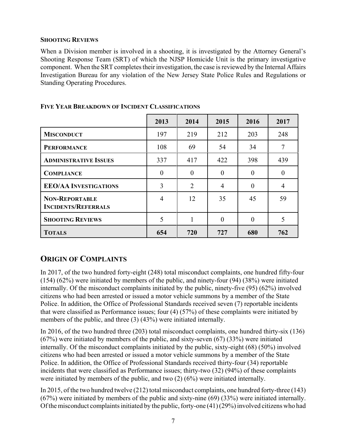#### **SHOOTING REVIEWS**

When a Division member is involved in a shooting, it is investigated by the Attorney General's Shooting Response Team (SRT) of which the NJSP Homicide Unit is the primary investigative component. When the SRT completes their investigation, the case is reviewed by the Internal Affairs Investigation Bureau for any violation of the New Jersey State Police Rules and Regulations or Standing Operating Procedures.

|                                                     | 2013     | 2014           | 2015           | 2016     | 2017     |
|-----------------------------------------------------|----------|----------------|----------------|----------|----------|
| <b>MISCONDUCT</b>                                   | 197      | 219            | 212            | 203      | 248      |
| <b>PERFORMANCE</b>                                  | 108      | 69             | 54             | 34       | 7        |
| <b>ADMINISTRATIVE ISSUES</b>                        | 337      | 417            | 422            | 398      | 439      |
| <b>COMPLIANCE</b>                                   | $\theta$ | $\theta$       | $\Omega$       | $\theta$ | $\Omega$ |
| <b>EEO/AA INVESTIGATIONS</b>                        | 3        | $\overline{2}$ | $\overline{4}$ | $\Omega$ | 4        |
| <b>NON-REPORTABLE</b><br><b>INCIDENTS/REFERRALS</b> | 4        | 12             | 35             | 45       | 59       |
| <b>SHOOTING REVIEWS</b>                             | 5        | 1              | $\Omega$       | $\Omega$ | 5        |
| <b>TOTALS</b>                                       | 654      | 720            | 727            | 680      | 762      |

#### **FIVE YEAR BREAKDOWN OF INCIDENT CLASSIFICATIONS**

## **ORIGIN OF COMPLAINTS**

In 2017, of the two hundred forty-eight (248) total misconduct complaints, one hundred fifty-four (154) (62%) were initiated by members of the public, and ninety-four (94) (38%) were initiated internally. Of the misconduct complaints initiated by the public, ninety-five (95) (62%) involved citizens who had been arrested or issued a motor vehicle summons by a member of the State Police. In addition, the Office of Professional Standards received seven (7) reportable incidents that were classified as Performance issues; four (4) (57%) of these complaints were initiated by members of the public, and three (3) (43%) were initiated internally.

In 2016, of the two hundred three (203) total misconduct complaints, one hundred thirty-six (136) (67%) were initiated by members of the public, and sixty-seven (67) (33%) were initiated internally. Of the misconduct complaints initiated by the public, sixty-eight (68) (50%) involved citizens who had been arrested or issued a motor vehicle summons by a member of the State Police. In addition, the Office of Professional Standards received thirty-four (34) reportable incidents that were classified as Performance issues; thirty-two (32) (94%) of these complaints were initiated by members of the public, and two (2) (6%) were initiated internally.

In 2015, of the two hundred twelve (212) total misconduct complaints, one hundred forty-three (143) (67%) were initiated by members of the public and sixty-nine (69) (33%) were initiated internally. Of the misconduct complaints initiated by the public, forty-one (41) (29%) involved citizens who had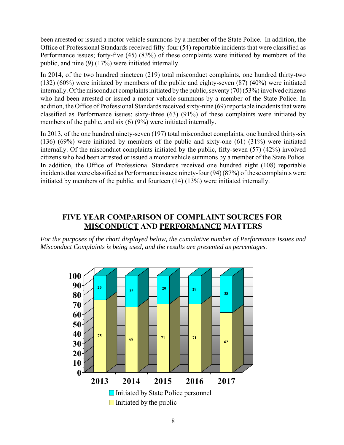been arrested or issued a motor vehicle summons by a member of the State Police. In addition, the Office of Professional Standards received fifty-four (54) reportable incidents that were classified as Performance issues; forty-five (45) (83%) of these complaints were initiated by members of the public, and nine (9) (17%) were initiated internally.

In 2014, of the two hundred nineteen (219) total misconduct complaints, one hundred thirty-two (132) (60%) were initiated by members of the public and eighty-seven (87) (40%) were initiated internally. Of the misconduct complaints initiated by the public, seventy (70) (53%) involved citizens who had been arrested or issued a motor vehicle summons by a member of the State Police. In addition, the Office of Professional Standards received sixty-nine (69) reportable incidents that were classified as Performance issues; sixty-three (63) (91%) of these complaints were initiated by members of the public, and six (6) (9%) were initiated internally.

In 2013, of the one hundred ninety-seven (197) total misconduct complaints, one hundred thirty-six (136) (69%) were initiated by members of the public and sixty-one (61) (31%) were initiated internally. Of the misconduct complaints initiated by the public, fifty-seven (57) (42%) involved citizens who had been arrested or issued a motor vehicle summons by a member of the State Police. In addition, the Office of Professional Standards received one hundred eight (108) reportable incidents that were classified as Performance issues; ninety-four (94) (87%) of these complaints were initiated by members of the public, and fourteen (14) (13%) were initiated internally.

### **FIVE YEAR COMPARISON OF COMPLAINT SOURCES FOR MISCONDUCT AND PERFORMANCE MATTERS**

*For the purposes of the chart displayed below, the cumulative number of Performance Issues and Misconduct Complaints is being used, and the results are presented as percentages.* 

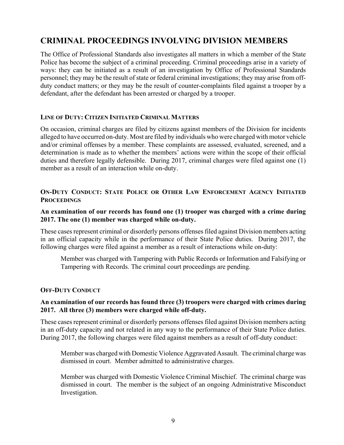## **CRIMINAL PROCEEDINGS INVOLVING DIVISION MEMBERS**

The Office of Professional Standards also investigates all matters in which a member of the State Police has become the subject of a criminal proceeding. Criminal proceedings arise in a variety of ways: they can be initiated as a result of an investigation by Office of Professional Standards personnel; they may be the result of state or federal criminal investigations; they may arise from offduty conduct matters; or they may be the result of counter-complaints filed against a trooper by a defendant, after the defendant has been arrested or charged by a trooper.

#### **LINE OF DUTY: CITIZEN INITIATED CRIMINAL MATTERS**

On occasion, criminal charges are filed by citizens against members of the Division for incidents alleged to have occurred on-duty. Most are filed by individuals who were charged with motor vehicle and/or criminal offenses by a member. These complaints are assessed, evaluated, screened, and a determination is made as to whether the members' actions were within the scope of their official duties and therefore legally defensible. During 2017, criminal charges were filed against one (1) member as a result of an interaction while on-duty.

#### **ON-DUTY CONDUCT: STATE POLICE OR OTHER LAW ENFORCEMENT AGENCY INITIATED PROCEEDINGS**

#### **An examination of our records has found one (1) trooper was charged with a crime during 2017. The one (1) member was charged while on-duty.**

These cases represent criminal or disorderly persons offenses filed against Division members acting in an official capacity while in the performance of their State Police duties. During 2017, the following charges were filed against a member as a result of interactions while on-duty:

Member was charged with Tampering with Public Records or Information and Falsifying or Tampering with Records. The criminal court proceedings are pending.

#### **OFF-DUTY CONDUCT**

#### **An examination of our records has found three (3) troopers were charged with crimes during 2017. All three (3) members were charged while off-duty.**

These cases represent criminal or disorderly persons offenses filed against Division members acting in an off-duty capacity and not related in any way to the performance of their State Police duties. During 2017, the following charges were filed against members as a result of off-duty conduct:

Member was charged with Domestic Violence Aggravated Assault. The criminal charge was dismissed in court. Member admitted to administrative charges.

Member was charged with Domestic Violence Criminal Mischief. The criminal charge was dismissed in court. The member is the subject of an ongoing Administrative Misconduct Investigation.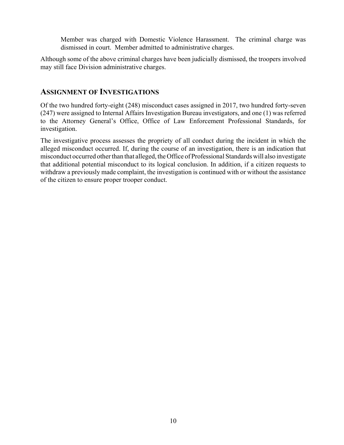Member was charged with Domestic Violence Harassment. The criminal charge was dismissed in court. Member admitted to administrative charges.

Although some of the above criminal charges have been judicially dismissed, the troopers involved may still face Division administrative charges.

#### **ASSIGNMENT OF INVESTIGATIONS**

Of the two hundred forty-eight (248) misconduct cases assigned in 2017, two hundred forty-seven (247) were assigned to Internal Affairs Investigation Bureau investigators, and one (1) was referred to the Attorney General's Office, Office of Law Enforcement Professional Standards, for investigation.

The investigative process assesses the propriety of all conduct during the incident in which the alleged misconduct occurred. If, during the course of an investigation, there is an indication that misconduct occurred other than that alleged, the Office of Professional Standards will also investigate that additional potential misconduct to its logical conclusion. In addition, if a citizen requests to withdraw a previously made complaint, the investigation is continued with or without the assistance of the citizen to ensure proper trooper conduct.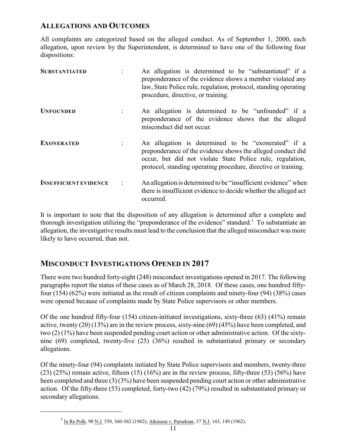### **ALLEGATIONS AND OUTCOMES**

All complaints are categorized based on the alleged conduct. As of September 1, 2000, each allegation, upon review by the Superintendent, is determined to have one of the following four dispositions:

| <b>SUBSTANTIATED</b>         | An allegation is determined to be "substantiated" if a<br>preponderance of the evidence shows a member violated any<br>law, State Police rule, regulation, protocol, standing operating<br>procedure, directive, or training.                     |
|------------------------------|---------------------------------------------------------------------------------------------------------------------------------------------------------------------------------------------------------------------------------------------------|
| <b>UNFOUNDED</b>             | An allegation is determined to be "unfounded" if a<br>preponderance of the evidence shows that the alleged<br>misconduct did not occur.                                                                                                           |
| <b>EXONERATED</b>            | An allegation is determined to be "exonerated" if a<br>preponderance of the evidence shows the alleged conduct did<br>occur, but did not violate State Police rule, regulation,<br>protocol, standing operating procedure, directive or training. |
| <b>INSUFFICIENT EVIDENCE</b> | An allegation is determined to be "insufficient evidence" when<br>there is insufficient evidence to decide whether the alleged act<br>occurred.                                                                                                   |

It is important to note that the disposition of any allegation is determined after a complete and thorough investigation utilizing the "preponderance of the evidence" standard.<sup>3</sup> To substantiate an allegation, the investigative results must lead to the conclusion that the alleged misconduct was more likely to have occurred, than not.

## **MISCONDUCT INVESTIGATIONS OPENED IN 2017**

There were two hundred forty-eight (248) misconduct investigations opened in 2017. The following paragraphs report the status of these cases as of March 28, 2018. Of these cases, one hundred fiftyfour (154) (62%) were initiated as the result of citizen complaints and ninety-four (94) (38%) cases were opened because of complaints made by State Police supervisors or other members.

Of the one hundred fifty-four  $(154)$  citizen-initiated investigations, sixty-three  $(63)$   $(41\%)$  remain active, twenty (20) (13%) are in the review process, sixty-nine (69) (45%) have been completed, and two (2) (1%) have been suspended pending court action or other administrative action. Of the sixtynine (69) completed, twenty-five (25) (36%) resulted in substantiated primary or secondary allegations.

Of the ninety-four (94) complaints initiated by State Police supervisors and members, twenty-three  $(23)$  (25%) remain active, fifteen (15) (16%) are in the review process, fifty-three (53) (56%) have been completed and three (3) (3%) have been suspended pending court action or other administrative action. Of the fifty-three (53) completed, forty-two (42) (79%) resulted in substantiated primary or secondary allegations.

<sup>&</sup>lt;sup>3</sup> In Re Polk, 90 N.J. 550, 560-562 (1982); Atkinson v. Parsekian, 37 N.J. 143, 149 (1962).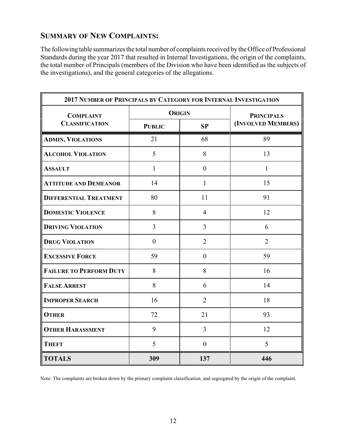## **SUMMARY OF NEW COMPLAINTS:**

The following table summarizes the total number of complaints received by the Office of Professional Standards during the year 2017 that resulted in Internal Investigations, the origin of the complaints, the total number of Principals (members of the Division who have been identified as the subjects of the investigations), and the general categories of the allegations.

| 2017 NUMBER OF PRINCIPALS BY CATEGORY FOR INTERNAL INVESTIGATION |               |                  |                    |  |  |
|------------------------------------------------------------------|---------------|------------------|--------------------|--|--|
| <b>COMPLAINT</b><br><b>CLASSIFICATION</b>                        |               | <b>ORIGIN</b>    | <b>PRINCIPALS</b>  |  |  |
|                                                                  | <b>PUBLIC</b> | SP               | (INVOLVED MEMBERS) |  |  |
| <b>ADMIN. VIOLATIONS</b>                                         | 21            | 68               | 89                 |  |  |
| <b>ALCOHOL VIOLATION</b>                                         | 5             | 8                | 13                 |  |  |
| <b>ASSAULT</b>                                                   | $\mathbf{1}$  | $\boldsymbol{0}$ | $\mathbf{1}$       |  |  |
| <b>ATTITUDE AND DEMEANOR</b>                                     | 14            | $\mathbf{1}$     | 15                 |  |  |
| <b>DIFFERENTIAL TREATMENT</b>                                    | 80            | 11               | 91                 |  |  |
| <b>DOMESTIC VIOLENCE</b>                                         | 8             | $\overline{4}$   | 12                 |  |  |
| <b>DRIVING VIOLATION</b>                                         | 3             | $\overline{3}$   | 6                  |  |  |
| <b>DRUG VIOLATION</b>                                            | $\mathbf{0}$  | $\overline{2}$   | $\overline{2}$     |  |  |
| <b>EXCESSIVE FORCE</b>                                           | 59            | $\overline{0}$   | 59                 |  |  |
| <b>FAILURE TO PERFORM DUTY</b>                                   | 8             | 8                | 16                 |  |  |
| <b>FALSE ARREST</b>                                              | 8             | 6                | 14                 |  |  |
| <b>IMPROPER SEARCH</b>                                           | 16            | $\overline{2}$   | 18                 |  |  |
| <b>OTHER</b>                                                     | 72            | 21               | 93                 |  |  |
| <b>OTHER HARASSMENT</b>                                          | 9             | $\overline{3}$   | 12                 |  |  |
| <b>THEFT</b>                                                     | 5             | $\theta$         | 5                  |  |  |
| <b>TOTALS</b>                                                    | 309           | 137              | 446                |  |  |

Note: The complaints are broken down by the primary complaint classification, and segregated by the origin of the complaint.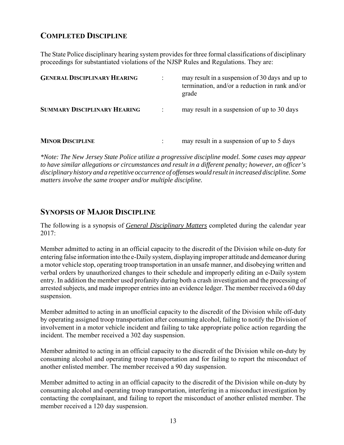## **COMPLETED DISCIPLINE**

The State Police disciplinary hearing system provides for three formal classifications of disciplinary proceedings for substantiated violations of the NJSP Rules and Regulations. They are:

| <b>GENERAL DISCIPLINARY HEARING</b> | may result in a suspension of 30 days and up to<br>termination, and/or a reduction in rank and/or<br>grade |
|-------------------------------------|------------------------------------------------------------------------------------------------------------|
| <b>SUMMARY DISCIPLINARY HEARING</b> | may result in a suspension of up to 30 days                                                                |
| <b>MINOR DISCIPLINE</b>             | may result in a suspension of up to 5 days                                                                 |

*\*Note: The New Jersey State Police utilize a progressive discipline model. Some cases may appear to have similar allegations or circumstances and result in a different penalty; however, an officer's disciplinary history and a repetitive occurrence of offenses would result in increased discipline. Some matters involve the same trooper and/or multiple discipline.*

#### **SYNOPSIS OF MAJOR DISCIPLINE**

The following is a synopsis of *General Disciplinary Matters* completed during the calendar year 2017:

Member admitted to acting in an official capacity to the discredit of the Division while on-duty for entering false information into the e-Daily system, displaying improper attitude and demeanor during a motor vehicle stop, operating troop transportation in an unsafe manner, and disobeying written and verbal orders by unauthorized changes to their schedule and improperly editing an e-Daily system entry. In addition the member used profanity during both a crash investigation and the processing of arrested subjects, and made improper entries into an evidence ledger. The member received a 60 day suspension.

Member admitted to acting in an unofficial capacity to the discredit of the Division while off-duty by operating assigned troop transportation after consuming alcohol, failing to notify the Division of involvement in a motor vehicle incident and failing to take appropriate police action regarding the incident. The member received a 302 day suspension.

Member admitted to acting in an official capacity to the discredit of the Division while on-duty by consuming alcohol and operating troop transportation and for failing to report the misconduct of another enlisted member. The member received a 90 day suspension.

Member admitted to acting in an official capacity to the discredit of the Division while on-duty by consuming alcohol and operating troop transportation, interfering in a misconduct investigation by contacting the complainant, and failing to report the misconduct of another enlisted member. The member received a 120 day suspension.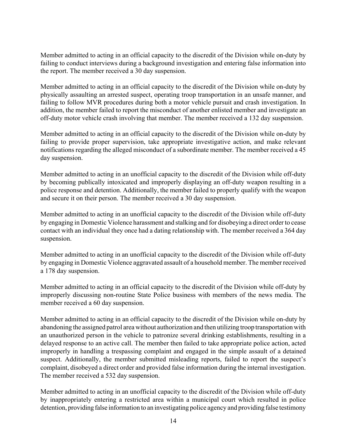Member admitted to acting in an official capacity to the discredit of the Division while on-duty by failing to conduct interviews during a background investigation and entering false information into the report. The member received a 30 day suspension.

Member admitted to acting in an official capacity to the discredit of the Division while on-duty by physically assaulting an arrested suspect, operating troop transportation in an unsafe manner, and failing to follow MVR procedures during both a motor vehicle pursuit and crash investigation. In addition, the member failed to report the misconduct of another enlisted member and investigate an off-duty motor vehicle crash involving that member. The member received a 132 day suspension.

Member admitted to acting in an official capacity to the discredit of the Division while on-duty by failing to provide proper supervision, take appropriate investigative action, and make relevant notifications regarding the alleged misconduct of a subordinate member. The member received a 45 day suspension.

Member admitted to acting in an unofficial capacity to the discredit of the Division while off-duty by becoming publically intoxicated and improperly displaying an off-duty weapon resulting in a police response and detention. Additionally, the member failed to properly qualify with the weapon and secure it on their person. The member received a 30 day suspension.

Member admitted to acting in an unofficial capacity to the discredit of the Division while off-duty by engaging in Domestic Violence harassment and stalking and for disobeying a direct order to cease contact with an individual they once had a dating relationship with. The member received a 364 day suspension.

Member admitted to acting in an unofficial capacity to the discredit of the Division while off-duty by engaging in Domestic Violence aggravated assault of a household member. The member received a 178 day suspension.

Member admitted to acting in an official capacity to the discredit of the Division while off-duty by improperly discussing non-routine State Police business with members of the news media. The member received a 60 day suspension.

Member admitted to acting in an official capacity to the discredit of the Division while on-duty by abandoning the assigned patrol area without authorization and then utilizing troop transportation with an unauthorized person in the vehicle to patronize several drinking establishments, resulting in a delayed response to an active call. The member then failed to take appropriate police action, acted improperly in handling a trespassing complaint and engaged in the simple assault of a detained suspect. Additionally, the member submitted misleading reports, failed to report the suspect's complaint, disobeyed a direct order and provided false information during the internal investigation. The member received a 532 day suspension.

Member admitted to acting in an unofficial capacity to the discredit of the Division while off-duty by inappropriately entering a restricted area within a municipal court which resulted in police detention, providing false information to an investigating police agency and providing false testimony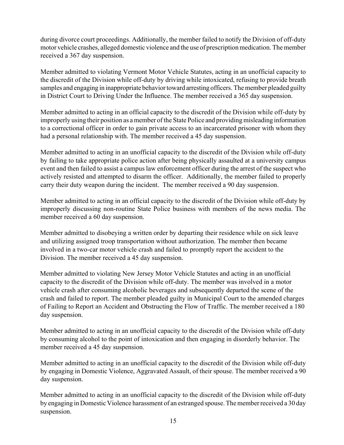during divorce court proceedings. Additionally, the member failed to notify the Division of off-duty motor vehicle crashes, alleged domestic violence and the use of prescription medication. The member received a 367 day suspension.

Member admitted to violating Vermont Motor Vehicle Statutes, acting in an unofficial capacity to the discredit of the Division while off-duty by driving while intoxicated, refusing to provide breath samples and engaging in inappropriate behavior toward arresting officers. The member pleaded guilty in District Court to Driving Under the Influence. The member received a 365 day suspension.

Member admitted to acting in an official capacity to the discredit of the Division while off-duty by improperly using their position as a member of the State Police and providing misleading information to a correctional officer in order to gain private access to an incarcerated prisoner with whom they had a personal relationship with. The member received a 45 day suspension.

Member admitted to acting in an unofficial capacity to the discredit of the Division while off-duty by failing to take appropriate police action after being physically assaulted at a university campus event and then failed to assist a campus law enforcement officer during the arrest of the suspect who actively resisted and attempted to disarm the officer. Additionally, the member failed to properly carry their duty weapon during the incident. The member received a 90 day suspension.

Member admitted to acting in an official capacity to the discredit of the Division while off-duty by improperly discussing non-routine State Police business with members of the news media. The member received a 60 day suspension.

Member admitted to disobeying a written order by departing their residence while on sick leave and utilizing assigned troop transportation without authorization. The member then became involved in a two-car motor vehicle crash and failed to promptly report the accident to the Division. The member received a 45 day suspension.

Member admitted to violating New Jersey Motor Vehicle Statutes and acting in an unofficial capacity to the discredit of the Division while off-duty. The member was involved in a motor vehicle crash after consuming alcoholic beverages and subsequently departed the scene of the crash and failed to report. The member pleaded guilty in Municipal Court to the amended charges of Failing to Report an Accident and Obstructing the Flow of Traffic. The member received a 180 day suspension.

Member admitted to acting in an unofficial capacity to the discredit of the Division while off-duty by consuming alcohol to the point of intoxication and then engaging in disorderly behavior. The member received a 45 day suspension.

Member admitted to acting in an unofficial capacity to the discredit of the Division while off-duty by engaging in Domestic Violence, Aggravated Assault, of their spouse. The member received a 90 day suspension.

Member admitted to acting in an unofficial capacity to the discredit of the Division while off-duty by engaging in Domestic Violence harassment of an estranged spouse. The member received a 30 day suspension.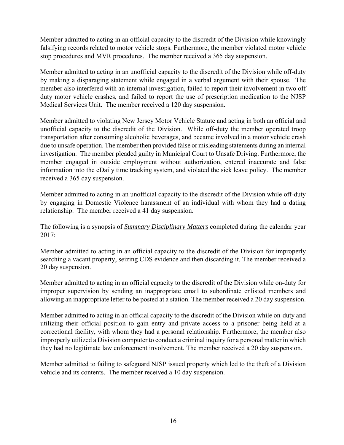Member admitted to acting in an official capacity to the discredit of the Division while knowingly falsifying records related to motor vehicle stops. Furthermore, the member violated motor vehicle stop procedures and MVR procedures. The member received a 365 day suspension.

Member admitted to acting in an unofficial capacity to the discredit of the Division while off-duty by making a disparaging statement while engaged in a verbal argument with their spouse. The member also interfered with an internal investigation, failed to report their involvement in two off duty motor vehicle crashes, and failed to report the use of prescription medication to the NJSP Medical Services Unit. The member received a 120 day suspension.

Member admitted to violating New Jersey Motor Vehicle Statute and acting in both an official and unofficial capacity to the discredit of the Division. While off-duty the member operated troop transportation after consuming alcoholic beverages, and became involved in a motor vehicle crash due to unsafe operation. The member then provided false or misleading statements during an internal investigation. The member pleaded guilty in Municipal Court to Unsafe Driving. Furthermore, the member engaged in outside employment without authorization, entered inaccurate and false information into the eDaily time tracking system, and violated the sick leave policy. The member received a 365 day suspension.

Member admitted to acting in an unofficial capacity to the discredit of the Division while off-duty by engaging in Domestic Violence harassment of an individual with whom they had a dating relationship. The member received a 41 day suspension.

The following is a synopsis of *Summary Disciplinary Matters* completed during the calendar year 2017:

Member admitted to acting in an official capacity to the discredit of the Division for improperly searching a vacant property, seizing CDS evidence and then discarding it. The member received a 20 day suspension.

Member admitted to acting in an official capacity to the discredit of the Division while on-duty for improper supervision by sending an inappropriate email to subordinate enlisted members and allowing an inappropriate letter to be posted at a station. The member received a 20 day suspension.

Member admitted to acting in an official capacity to the discredit of the Division while on-duty and utilizing their official position to gain entry and private access to a prisoner being held at a correctional facility, with whom they had a personal relationship. Furthermore, the member also improperly utilized a Division computer to conduct a criminal inquiry for a personal matter in which they had no legitimate law enforcement involvement. The member received a 20 day suspension.

Member admitted to failing to safeguard NJSP issued property which led to the theft of a Division vehicle and its contents. The member received a 10 day suspension.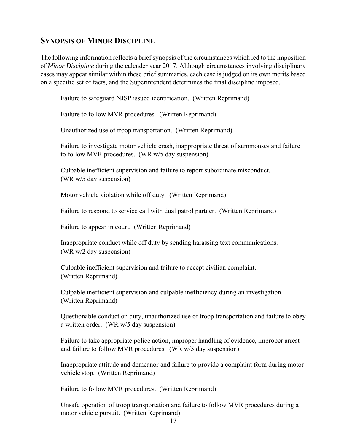#### **SYNOPSIS OF MINOR DISCIPLINE**

The following information reflects a brief synopsis of the circumstances which led to the imposition of *Minor Discipline* during the calender year 2017. Although circumstances involving disciplinary cases may appear similar within these brief summaries, each case is judged on its own merits based on a specific set of facts, and the Superintendent determines the final discipline imposed.

Failure to safeguard NJSP issued identification. (Written Reprimand)

Failure to follow MVR procedures. (Written Reprimand)

Unauthorized use of troop transportation. (Written Reprimand)

Failure to investigate motor vehicle crash, inappropriate threat of summonses and failure to follow MVR procedures. (WR w/5 day suspension)

Culpable inefficient supervision and failure to report subordinate misconduct. (WR w/5 day suspension)

Motor vehicle violation while off duty. (Written Reprimand)

Failure to respond to service call with dual patrol partner. (Written Reprimand)

Failure to appear in court. (Written Reprimand)

Inappropriate conduct while off duty by sending harassing text communications. (WR w/2 day suspension)

Culpable inefficient supervision and failure to accept civilian complaint. (Written Reprimand)

Culpable inefficient supervision and culpable inefficiency during an investigation. (Written Reprimand)

Questionable conduct on duty, unauthorized use of troop transportation and failure to obey a written order. (WR w/5 day suspension)

Failure to take appropriate police action, improper handling of evidence, improper arrest and failure to follow MVR procedures. (WR w/5 day suspension)

Inappropriate attitude and demeanor and failure to provide a complaint form during motor vehicle stop. (Written Reprimand)

Failure to follow MVR procedures. (Written Reprimand)

Unsafe operation of troop transportation and failure to follow MVR procedures during a motor vehicle pursuit. (Written Reprimand)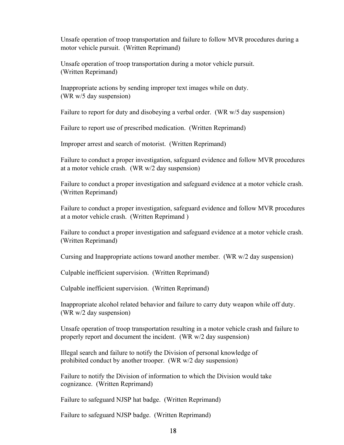Unsafe operation of troop transportation and failure to follow MVR procedures during a motor vehicle pursuit. (Written Reprimand)

Unsafe operation of troop transportation during a motor vehicle pursuit. (Written Reprimand)

Inappropriate actions by sending improper text images while on duty. (WR w/5 day suspension)

Failure to report for duty and disobeying a verbal order. (WR w/5 day suspension)

Failure to report use of prescribed medication. (Written Reprimand)

Improper arrest and search of motorist. (Written Reprimand)

Failure to conduct a proper investigation, safeguard evidence and follow MVR procedures at a motor vehicle crash. (WR w/2 day suspension)

Failure to conduct a proper investigation and safeguard evidence at a motor vehicle crash. (Written Reprimand)

Failure to conduct a proper investigation, safeguard evidence and follow MVR procedures at a motor vehicle crash. (Written Reprimand )

Failure to conduct a proper investigation and safeguard evidence at a motor vehicle crash. (Written Reprimand)

Cursing and Inappropriate actions toward another member. (WR w/2 day suspension)

Culpable inefficient supervision. (Written Reprimand)

Culpable inefficient supervision. (Written Reprimand)

Inappropriate alcohol related behavior and failure to carry duty weapon while off duty. (WR w/2 day suspension)

Unsafe operation of troop transportation resulting in a motor vehicle crash and failure to properly report and document the incident. (WR w/2 day suspension)

Illegal search and failure to notify the Division of personal knowledge of prohibited conduct by another trooper. (WR w/2 day suspension)

Failure to notify the Division of information to which the Division would take cognizance. (Written Reprimand)

Failure to safeguard NJSP hat badge. (Written Reprimand)

Failure to safeguard NJSP badge. (Written Reprimand)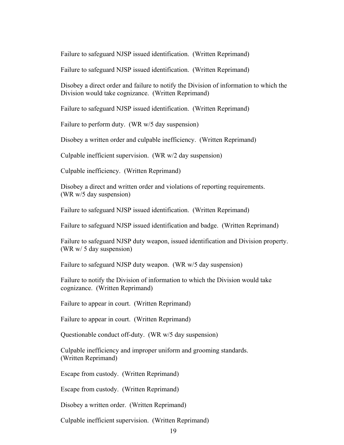Failure to safeguard NJSP issued identification. (Written Reprimand)

Failure to safeguard NJSP issued identification. (Written Reprimand)

 Disobey a direct order and failure to notify the Division of information to which the Division would take cognizance. (Written Reprimand)

Failure to safeguard NJSP issued identification. (Written Reprimand)

Failure to perform duty. (WR w/5 day suspension)

Disobey a written order and culpable inefficiency. (Written Reprimand)

Culpable inefficient supervision. (WR w/2 day suspension)

Culpable inefficiency. (Written Reprimand)

 Disobey a direct and written order and violations of reporting requirements. (WR w/5 day suspension)

Failure to safeguard NJSP issued identification. (Written Reprimand)

Failure to safeguard NJSP issued identification and badge. (Written Reprimand)

 Failure to safeguard NJSP duty weapon, issued identification and Division property. (WR w/ 5 day suspension)

Failure to safeguard NJSP duty weapon. (WR w/5 day suspension)

 Failure to notify the Division of information to which the Division would take cognizance. (Written Reprimand)

Failure to appear in court. (Written Reprimand)

Failure to appear in court. (Written Reprimand)

Questionable conduct off-duty. (WR w/5 day suspension)

Culpable inefficiency and improper uniform and grooming standards. (Written Reprimand)

Escape from custody. (Written Reprimand)

Escape from custody. (Written Reprimand)

Disobey a written order. (Written Reprimand)

Culpable inefficient supervision. (Written Reprimand)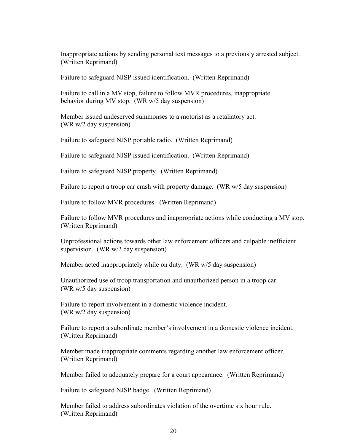Inappropriate actions by sending personal text messages to a previously arrested subject. (Written Reprimand)

Failure to safeguard NJSP issued identification. (Written Reprimand)

 Failure to call in a MV stop, failure to follow MVR procedures, inappropriate behavior during MV stop. (WR w/5 day suspension)

Member issued undeserved summonses to a motorist as a retaliatory act. (WR w/2 day suspension)

Failure to safeguard NJSP portable radio. (Written Reprimand)

Failure to safeguard NJSP issued identification. (Written Reprimand)

Failure to safeguard NJSP property. (Written Reprimand)

Failure to report a troop car crash with property damage. (WR w/5 day suspension)

Failure to follow MVR procedures. (Written Reprimand)

Failure to follow MVR procedures and inappropriate actions while conducting a MV stop. (Written Reprimand)

Unprofessional actions towards other law enforcement officers and culpable inefficient supervision. (WR w/2 day suspension)

Member acted inappropriately while on duty. (WR w/5 day suspension)

Unauthorized use of troop transportation and unauthorized person in a troop car. (WR w/5 day suspension)

Failure to report involvement in a domestic violence incident. (WR w/2 day suspension)

Failure to report a subordinate member's involvement in a domestic violence incident. (Written Reprimand)

Member made inappropriate comments regarding another law enforcement officer. (Written Reprimand)

Member failed to adequately prepare for a court appearance. (Written Reprimand)

Failure to safeguard NJSP badge. (Written Reprimand)

Member failed to address subordinates violation of the overtime six hour rule. (Written Reprimand)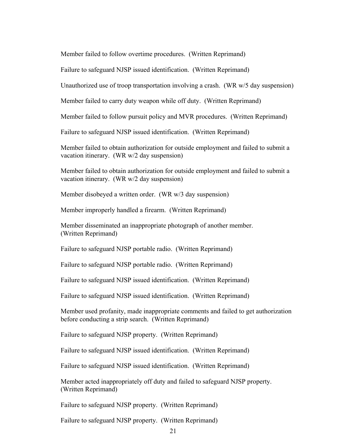Member failed to follow overtime procedures. (Written Reprimand)

Failure to safeguard NJSP issued identification. (Written Reprimand)

Unauthorized use of troop transportation involving a crash. (WR w/5 day suspension)

Member failed to carry duty weapon while off duty. (Written Reprimand)

Member failed to follow pursuit policy and MVR procedures. (Written Reprimand)

Failure to safeguard NJSP issued identification. (Written Reprimand)

Member failed to obtain authorization for outside employment and failed to submit a vacation itinerary. (WR w/2 day suspension)

Member failed to obtain authorization for outside employment and failed to submit a vacation itinerary. (WR w/2 day suspension)

Member disobeyed a written order. (WR w/3 day suspension)

Member improperly handled a firearm. (Written Reprimand)

Member disseminated an inappropriate photograph of another member. (Written Reprimand)

Failure to safeguard NJSP portable radio. (Written Reprimand)

Failure to safeguard NJSP portable radio. (Written Reprimand)

Failure to safeguard NJSP issued identification. (Written Reprimand)

Failure to safeguard NJSP issued identification. (Written Reprimand)

Member used profanity, made inappropriate comments and failed to get authorization before conducting a strip search. (Written Reprimand)

Failure to safeguard NJSP property. (Written Reprimand)

Failure to safeguard NJSP issued identification. (Written Reprimand)

Failure to safeguard NJSP issued identification. (Written Reprimand)

Member acted inappropriately off duty and failed to safeguard NJSP property. (Written Reprimand)

Failure to safeguard NJSP property. (Written Reprimand)

Failure to safeguard NJSP property. (Written Reprimand)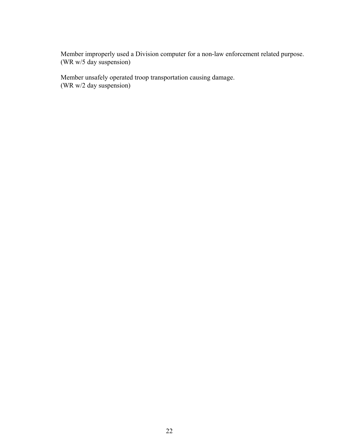Member improperly used a Division computer for a non-law enforcement related purpose. (WR w/5 day suspension)

Member unsafely operated troop transportation causing damage. (WR w/2 day suspension)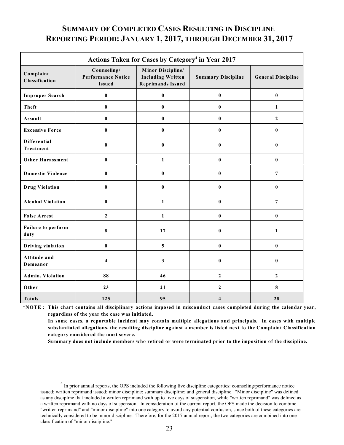## **SUMMARY OF COMPLETED CASES RESULTING IN DISCIPLINE REPORTING PERIOD: JANUARY 1, 2017, THROUGH DECEMBER 31, 2017**

| Actions Taken for Cases by Category <sup>4</sup> in Year 2017 |                                                           |                                                                                  |                           |                           |  |  |
|---------------------------------------------------------------|-----------------------------------------------------------|----------------------------------------------------------------------------------|---------------------------|---------------------------|--|--|
| Complaint<br>Classification                                   | Counseling/<br><b>Performance Notice</b><br><b>Issued</b> | <b>Minor Discipline/</b><br><b>Including Written</b><br><b>Reprimands Issued</b> | <b>Summary Discipline</b> | <b>General Discipline</b> |  |  |
| <b>Improper Search</b>                                        | $\bf{0}$                                                  | $\bf{0}$                                                                         | $\bf{0}$                  | $\pmb{0}$                 |  |  |
| <b>Theft</b>                                                  | $\bf{0}$                                                  | $\bf{0}$                                                                         | $\bf{0}$                  | $\mathbf{1}$              |  |  |
| Assault                                                       | $\bf{0}$                                                  | $\bf{0}$                                                                         | $\bf{0}$                  | $\overline{2}$            |  |  |
| <b>Excessive Force</b>                                        | $\bf{0}$                                                  | $\bf{0}$                                                                         | $\bf{0}$                  | $\bf{0}$                  |  |  |
| <b>Differential</b><br><b>Treatment</b>                       | $\bf{0}$                                                  | $\bf{0}$                                                                         | $\bf{0}$                  | $\bf{0}$                  |  |  |
| Other Harassment                                              | $\bf{0}$                                                  | $\mathbf{1}$                                                                     | $\bf{0}$                  | $\bf{0}$                  |  |  |
| <b>Domestic Violence</b>                                      | $\bf{0}$                                                  | $\bf{0}$                                                                         | $\bf{0}$                  | $\overline{7}$            |  |  |
| <b>Drug Violation</b>                                         | $\bf{0}$                                                  | $\bf{0}$                                                                         | $\bf{0}$                  | $\bf{0}$                  |  |  |
| <b>Alcohol Violation</b>                                      | $\bf{0}$                                                  | $\mathbf{1}$                                                                     | $\bf{0}$                  | $\overline{7}$            |  |  |
| <b>False Arrest</b>                                           | $\overline{2}$                                            | $\mathbf{1}$                                                                     | $\bf{0}$                  | $\bf{0}$                  |  |  |
| Failure to perform<br>duty                                    | 8                                                         | 17                                                                               | $\bf{0}$                  | $\mathbf{1}$              |  |  |
| <b>Driving violation</b>                                      | $\pmb{0}$                                                 | 5                                                                                | $\pmb{0}$                 | $\pmb{0}$                 |  |  |
| Attitude and<br>Demeanor                                      | $\overline{\mathbf{4}}$                                   | 3                                                                                | $\bf{0}$                  | $\bf{0}$                  |  |  |
| <b>Admin. Violation</b>                                       | 88                                                        | 46                                                                               | $\boldsymbol{2}$          | $\boldsymbol{2}$          |  |  |
| Other                                                         | 23                                                        | 21                                                                               | $\boldsymbol{2}$          | $\bf{8}$                  |  |  |
| <b>Totals</b>                                                 | 125                                                       | 95                                                                               | $\overline{\mathbf{4}}$   | 28                        |  |  |

**\*NOTE : This chart contains all disciplinary actions imposed in misconduct cases completed during the calendar year, regardless of the year the case was initiated.**

**In some cases, a reportable incident may contain multiple allegations and principals. In cases with multiple substantiated allegations, the resulting discipline against a member is listed next to the Complaint Classification category considered the most severe.**

**Summary does not include members who retired or were terminated prior to the imposition of the discipline.**

<sup>&</sup>lt;sup>4</sup> In prior annual reports, the OPS included the following five discipline categorties: counseling/performance notice issued; written reprimand issued; minor discipline; summary discipline; and general discipline. "Minor discipline" was defined as any discipline that included a written reprimand with up to five days of suspenstion, while "written reprimand" was defined as a written reprimand with no days of suspension. In consideration of the current report, the OPS made the decision to combine "written reprimand" and "minor discipline" into one category to avoid any potential confusion, since both of these categories are technically considered to be minor discipline. Therefore, for the 2017 annual report, the two categories are combined into one classification of "minor discipline."